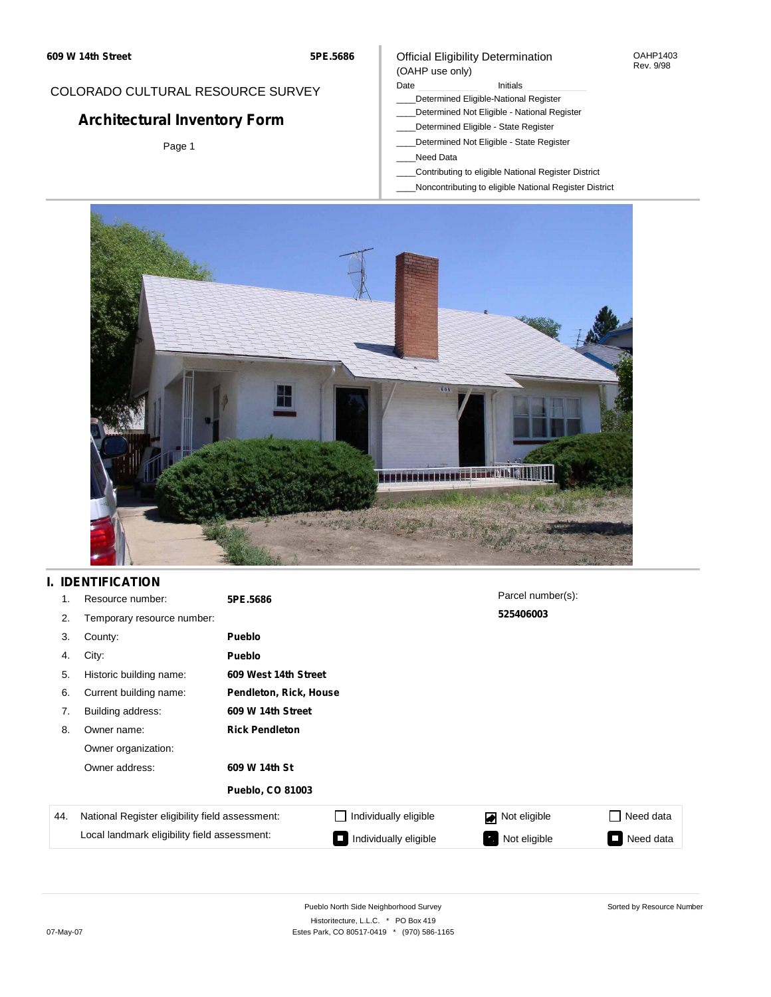#### Official Eligibility Determination (OAHP use only)

OAHP1403 Rev. 9/98

## COLORADO CULTURAL RESOURCE SURVEY

# **Architectural Inventory Form**

Page 1

### Date **Initials** Initials

- \_\_\_\_Determined Eligible-National Register
- \_\_\_\_Determined Not Eligible National Register \_\_\_\_Determined Eligible - State Register
- \_\_\_\_Determined Not Eligible State Register
- \_\_\_\_Need Data
- \_\_\_\_Contributing to eligible National Register District
- \_\_\_\_Noncontributing to eligible National Register District



### **I. IDENTIFICATION**

| 1.  | Resource number:                                | 5PE.5686                |                        | Parcel number(s): |                  |  |  |  |
|-----|-------------------------------------------------|-------------------------|------------------------|-------------------|------------------|--|--|--|
| 2.  | Temporary resource number:                      |                         |                        | 525406003         |                  |  |  |  |
| 3.  | County:                                         | <b>Pueblo</b>           |                        |                   |                  |  |  |  |
| 4.  | City:                                           | Pueblo                  |                        |                   |                  |  |  |  |
| 5.  | Historic building name:                         | 609 West 14th Street    |                        |                   |                  |  |  |  |
| 6.  | Current building name:                          |                         | Pendleton, Rick, House |                   |                  |  |  |  |
| 7.  | Building address:                               | 609 W 14th Street       |                        |                   |                  |  |  |  |
| 8.  | Owner name:                                     | <b>Rick Pendleton</b>   |                        |                   |                  |  |  |  |
|     | Owner organization:                             |                         |                        |                   |                  |  |  |  |
|     | Owner address:                                  | 609 W 14th St           |                        |                   |                  |  |  |  |
|     |                                                 | <b>Pueblo, CO 81003</b> |                        |                   |                  |  |  |  |
| 44. | National Register eligibility field assessment: |                         | Individually eligible  | Not eligible      | $\Box$ Need data |  |  |  |
|     | Local landmark eligibility field assessment:    |                         | Individually eligible  | Not eligible      | Need data<br>I.  |  |  |  |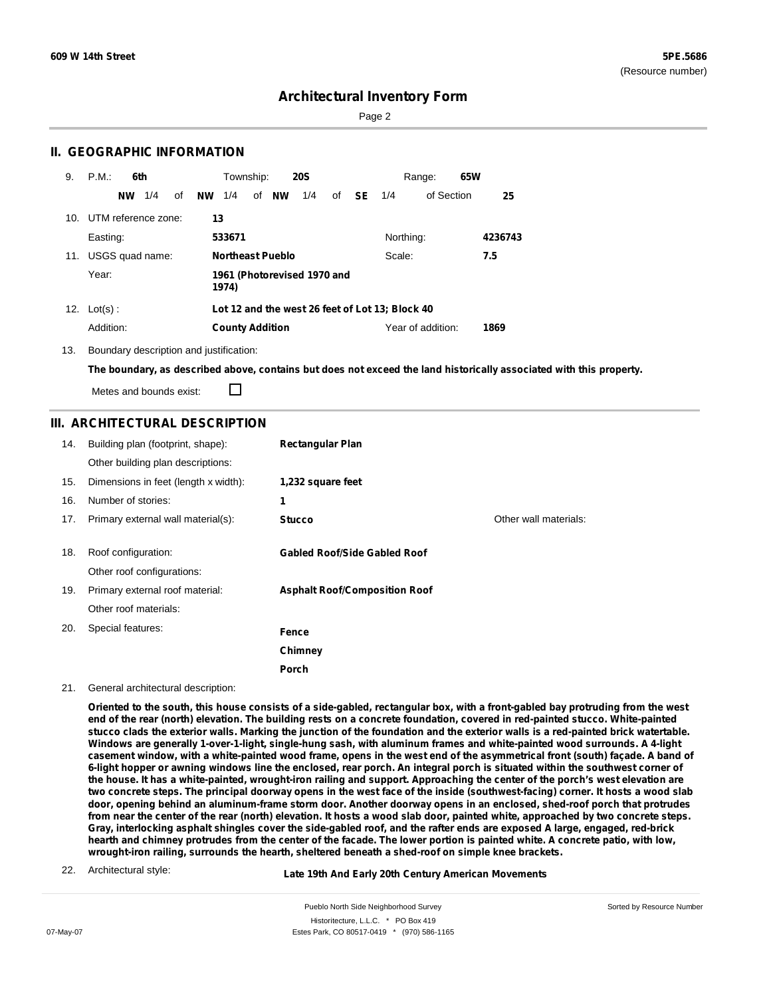Sorted by Resource Number

### **Architectural Inventory Form**

Page 2

### **II. GEOGRAPHIC INFORMATION**

| 9.  | P.M.                | 6th       |     |    |           | Township:              |                         | <b>20S</b>                  |    |    |                                                 | Range:            | 65W |         |
|-----|---------------------|-----------|-----|----|-----------|------------------------|-------------------------|-----------------------------|----|----|-------------------------------------------------|-------------------|-----|---------|
|     |                     | <b>NW</b> | 1/4 | οf | <b>NW</b> | 1/4                    | of <b>NW</b>            | 1/4                         | of | SE | 1/4                                             | of Section        |     | 25      |
| 10. | UTM reference zone: |           |     |    | 13        |                        |                         |                             |    |    |                                                 |                   |     |         |
|     | Easting:            |           |     |    |           | 533671                 |                         |                             |    |    | Northing:                                       |                   |     | 4236743 |
| 11. | USGS quad name:     |           |     |    |           |                        | <b>Northeast Pueblo</b> |                             |    |    | Scale:                                          |                   |     | 7.5     |
|     | Year:               |           |     |    |           | 1974)                  |                         | 1961 (Photorevised 1970 and |    |    |                                                 |                   |     |         |
|     | 12. $Lot(s)$ :      |           |     |    |           |                        |                         |                             |    |    | Lot 12 and the west 26 feet of Lot 13; Block 40 |                   |     |         |
|     | Addition:           |           |     |    |           | <b>County Addition</b> |                         |                             |    |    |                                                 | Year of addition: |     | 1869    |

13. Boundary description and justification:

The boundary, as described above, contains but does not exceed the land historically associated with this property.

Metes and bounds exist:

П

#### **III. ARCHITECTURAL DESCRIPTION**

| 14. | Building plan (footprint, shape):<br>Other building plan descriptions: | <b>Rectangular Plan</b>              |                       |
|-----|------------------------------------------------------------------------|--------------------------------------|-----------------------|
| 15. | Dimensions in feet (length x width):                                   | 1,232 square feet                    |                       |
| 16. | Number of stories:                                                     | 1                                    |                       |
| 17. | Primary external wall material(s):                                     | <b>Stucco</b>                        | Other wall materials: |
| 18. | Roof configuration:<br>Other roof configurations:                      | <b>Gabled Roof/Side Gabled Roof</b>  |                       |
| 19. | Primary external roof material:<br>Other roof materials:               | <b>Asphalt Roof/Composition Roof</b> |                       |
| 20. | Special features:                                                      | Fence                                |                       |
|     |                                                                        | Chimney                              |                       |
|     |                                                                        | Porch                                |                       |

21. General architectural description:

Oriented to the south, this house consists of a side-gabled, rectangular box, with a front-gabled bay protruding from the west end of the rear (north) elevation. The building rests on a concrete foundation, covered in red-painted stucco. White-painted stucco clads the exterior walls. Marking the junction of the foundation and the exterior walls is a red-painted brick watertable. Windows are generally 1-over-1-light, single-hung sash, with aluminum frames and white-painted wood surrounds. A 4-light casement window, with a white-painted wood frame, opens in the west end of the asymmetrical front (south) façade. A band of 6-light hopper or awning windows line the enclosed, rear porch. An integral porch is situated within the southwest corner of the house. It has a white-painted, wrought-iron railing and support. Approaching the center of the porch's west elevation are two concrete steps. The principal doorway opens in the west face of the inside (southwest-facing) corner. It hosts a wood slab door, opening behind an aluminum-frame storm door. Another doorway opens in an enclosed, shed-roof porch that protrudes from near the center of the rear (north) elevation. It hosts a wood slab door, painted white, approached by two concrete steps. Gray, interlocking asphalt shingles cover the side-gabled roof, and the rafter ends are exposed A large, engaged, red-brick hearth and chimney protrudes from the center of the facade. The lower portion is painted white. A concrete patio, with low, **wrought-iron railing, surrounds the hearth, sheltered beneath a shed-roof on simple knee brackets.**

22. Architectural style:

#### **Late 19th And Early 20th Century American Movements**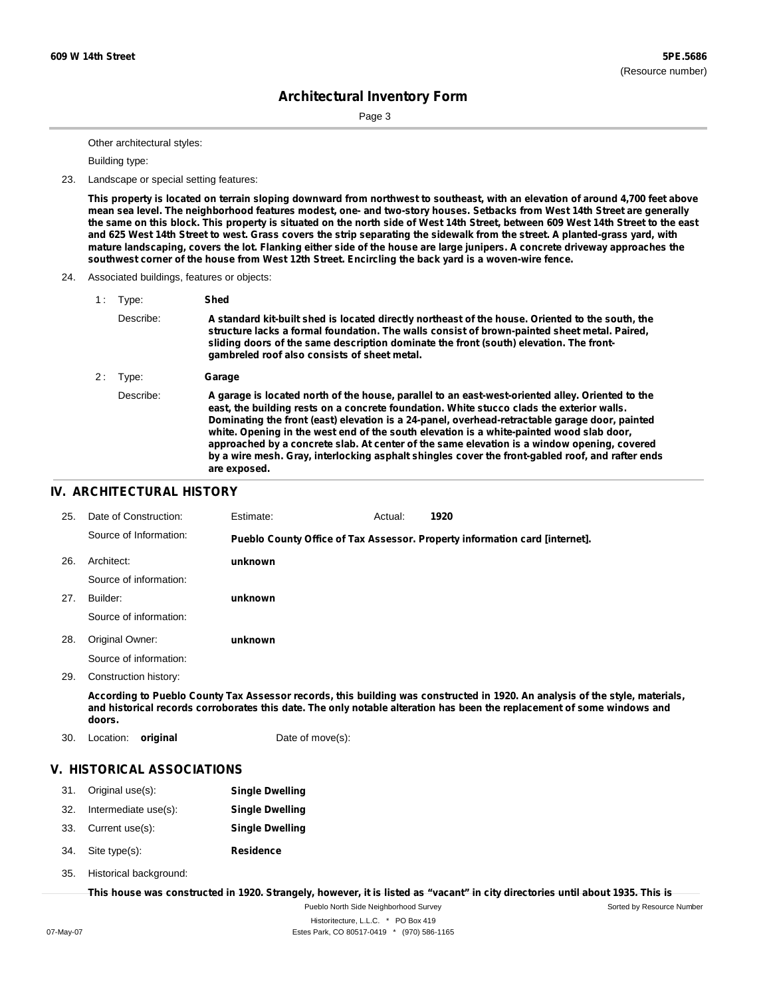Sorted by Resource Number

### **Architectural Inventory Form**

Page 3

Other architectural styles:

Building type:

23. Landscape or special setting features:

This property is located on terrain sloping downward from northwest to southeast, with an elevation of around 4,700 feet above mean sea level. The neighborhood features modest, one- and two-story houses. Setbacks from West 14th Street are generally the same on this block. This property is situated on the north side of West 14th Street, between 609 West 14th Street to the east and 625 West 14th Street to west. Grass covers the strip separating the sidewalk from the street. A planted-grass yard, with mature landscaping, covers the lot. Flanking either side of the house are large junipers. A concrete driveway approaches the **southwest corner of the house from West 12th Street. Encircling the back yard is a woven-wire fence.**

24. Associated buildings, features or objects:

| 1: | Type:     | Shed                                                                                                                                                                                                                                                                                                                                                                                                                                                                                                                                                                                                           |
|----|-----------|----------------------------------------------------------------------------------------------------------------------------------------------------------------------------------------------------------------------------------------------------------------------------------------------------------------------------------------------------------------------------------------------------------------------------------------------------------------------------------------------------------------------------------------------------------------------------------------------------------------|
|    | Describe: | A standard kit-built shed is located directly northeast of the house. Oriented to the south, the<br>structure lacks a formal foundation. The walls consist of brown-painted sheet metal. Paired,<br>sliding doors of the same description dominate the front (south) elevation. The front-<br>gambreled roof also consists of sheet metal.                                                                                                                                                                                                                                                                     |
| 2: | Type:     | Garage                                                                                                                                                                                                                                                                                                                                                                                                                                                                                                                                                                                                         |
|    | Describe: | A garage is located north of the house, parallel to an east-west-oriented alley. Oriented to the<br>east, the building rests on a concrete foundation. White stucco clads the exterior walls.<br>Dominating the front (east) elevation is a 24-panel, overhead-retractable garage door, painted<br>white. Opening in the west end of the south elevation is a white-painted wood slab door,<br>approached by a concrete slab. At center of the same elevation is a window opening, covered<br>by a wire mesh. Gray, interlocking asphalt shingles cover the front-gabled roof, and rafter ends<br>are exposed. |

#### **IV. ARCHITECTURAL HISTORY**

| 25. | Date of Construction:  | Estimate:                                                                                                          | Actual: | 1920 |  |
|-----|------------------------|--------------------------------------------------------------------------------------------------------------------|---------|------|--|
|     | Source of Information: | Pueblo County Office of Tax Assessor. Property information card [internet].                                        |         |      |  |
| 26. | Architect:             | unknown                                                                                                            |         |      |  |
|     | Source of information: |                                                                                                                    |         |      |  |
| 27. | Builder:               | unknown                                                                                                            |         |      |  |
|     | Source of information: |                                                                                                                    |         |      |  |
| 28. | Original Owner:        | unknown                                                                                                            |         |      |  |
|     | Source of information: |                                                                                                                    |         |      |  |
| 29. | Construction history:  |                                                                                                                    |         |      |  |
|     |                        | Associated Duckle Occupation - Associated and the building one constanted in 4000. An enclusive of the state motor |         |      |  |

According to Pueblo County Tax Assessor records, this building was constructed in 1920. An analysis of the style, materials, and historical records corroborates this date. The only notable alteration has been the replacement of some windows and **doors.**

30. Location: **original** Date of move(s):

### **V. HISTORICAL ASSOCIATIONS**

- 31. Original use(s): **Single Dwelling**
- 32. Intermediate use(s): **Single Dwelling**
- 33. Current use(s): **Single Dwelling**
- **Residence** Site type(s): 34.
- Historical background: 35.

This house was constructed in 1920. Strangely, however, it is listed as "vacant" in city directories until about 1935. This is

Pueblo North Side Neighborhood Survey Historitecture, L.L.C. \* PO Box 419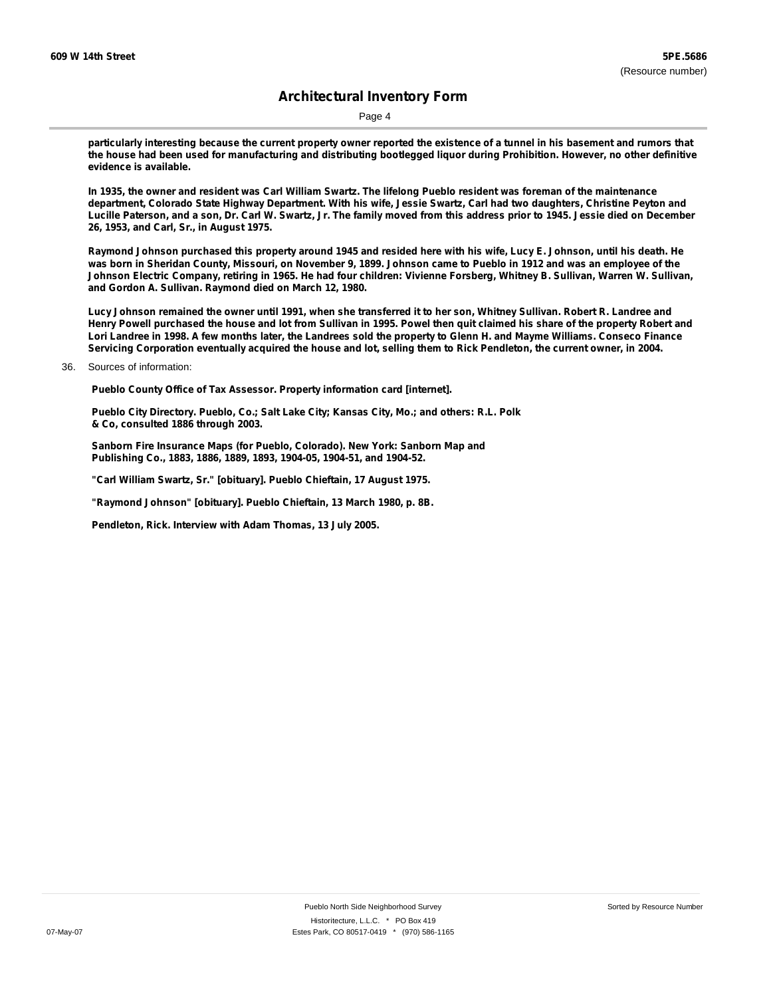Page 4

particularly interesting because the current property owner reported the existence of a tunnel in his basement and rumors that the house had been used for manufacturing and distributing bootlegged liquor during Prohibition. However, no other definitive **evidence is available.**

In 1935, the owner and resident was Carl William Swartz. The lifelong Pueblo resident was foreman of the maintenance department, Colorado State Highway Department. With his wife, Jessie Swartz, Carl had two daughters, Christine Peyton and Lucille Paterson, and a son, Dr. Carl W. Swartz, Jr. The family moved from this address prior to 1945. Jessie died on December **26, 1953, and Carl, Sr., in August 1975.**

Raymond Johnson purchased this property around 1945 and resided here with his wife, Lucy E. Johnson, until his death. He was born in Sheridan County, Missouri, on November 9, 1899. Johnson came to Pueblo in 1912 and was an employee of the Johnson Electric Company, retiring in 1965. He had four children: Vivienne Forsberg, Whitney B. Sullivan, Warren W. Sullivan, **and Gordon A. Sullivan. Raymond died on March 12, 1980.**

Lucy Johnson remained the owner until 1991, when she transferred it to her son, Whitney Sullivan. Robert R. Landree and Henry Powell purchased the house and lot from Sullivan in 1995. Powel then quit claimed his share of the property Robert and Lori Landree in 1998. A few months later, the Landrees sold the property to Glenn H. and Mayme Williams. Conseco Finance Servicing Corporation eventually acquired the house and lot, selling them to Rick Pendleton, the current owner, in 2004.

36. Sources of information:

**Pueblo County Office of Tax Assessor. Property information card [internet].**

**Pueblo City Directory. Pueblo, Co.; Salt Lake City; Kansas City, Mo.; and others: R.L. Polk & Co, consulted 1886 through 2003.**

**Sanborn Fire Insurance Maps (for Pueblo, Colorado). New York: Sanborn Map and Publishing Co., 1883, 1886, 1889, 1893, 1904-05, 1904-51, and 1904-52.**

**"Carl William Swartz, Sr." [obituary]. Pueblo Chieftain, 17 August 1975.**

**"Raymond Johnson" [obituary]. Pueblo Chieftain, 13 March 1980, p. 8B.**

**Pendleton, Rick. Interview with Adam Thomas, 13 July 2005.**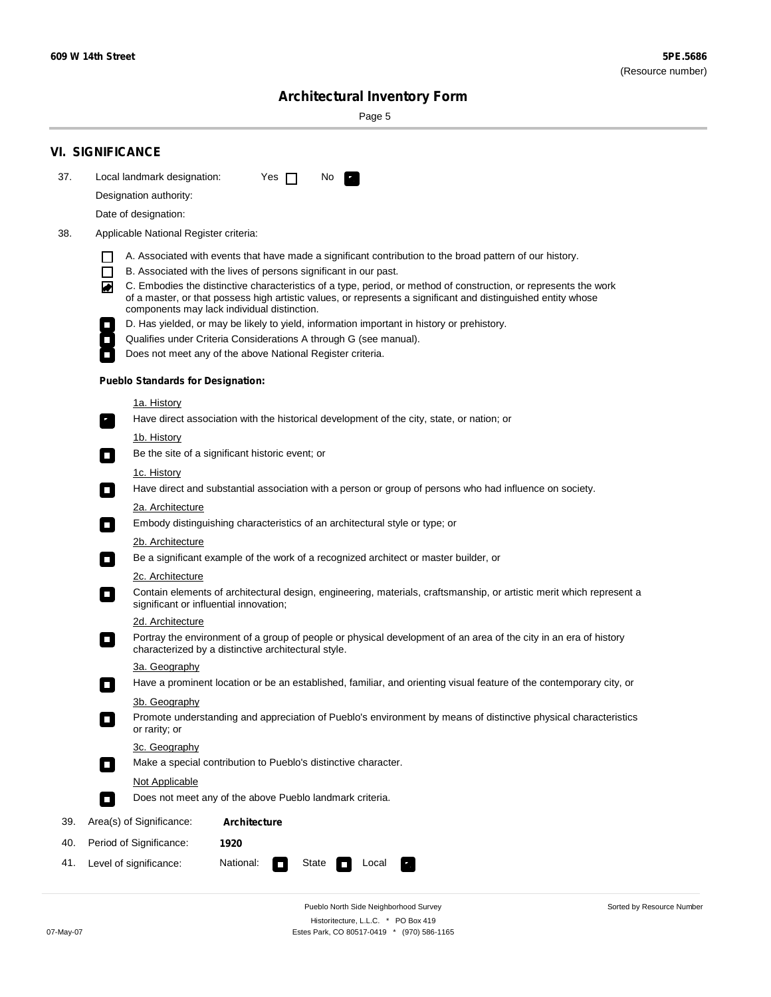÷

Sorted by Resource Number

## **Architectural Inventory Form**

Page 5

|     | <b>VI. SIGNIFICANCE</b>                                                                                                                                                                                                                                                                                                                                             |
|-----|---------------------------------------------------------------------------------------------------------------------------------------------------------------------------------------------------------------------------------------------------------------------------------------------------------------------------------------------------------------------|
| 37. | Local landmark designation:<br>Yes $\Box$<br>No.                                                                                                                                                                                                                                                                                                                    |
|     | Designation authority:                                                                                                                                                                                                                                                                                                                                              |
|     | Date of designation:                                                                                                                                                                                                                                                                                                                                                |
| 38. | Applicable National Register criteria:                                                                                                                                                                                                                                                                                                                              |
|     | A. Associated with events that have made a significant contribution to the broad pattern of our history.<br>l.                                                                                                                                                                                                                                                      |
|     | B. Associated with the lives of persons significant in our past.<br>$\Box$<br>C. Embodies the distinctive characteristics of a type, period, or method of construction, or represents the work<br>◙<br>of a master, or that possess high artistic values, or represents a significant and distinguished entity whose<br>components may lack individual distinction. |
|     | D. Has yielded, or may be likely to yield, information important in history or prehistory.                                                                                                                                                                                                                                                                          |
|     | Qualifies under Criteria Considerations A through G (see manual).                                                                                                                                                                                                                                                                                                   |
|     | Does not meet any of the above National Register criteria.                                                                                                                                                                                                                                                                                                          |
|     | <b>Pueblo Standards for Designation:</b>                                                                                                                                                                                                                                                                                                                            |
|     | 1a. History                                                                                                                                                                                                                                                                                                                                                         |
|     | Have direct association with the historical development of the city, state, or nation; or                                                                                                                                                                                                                                                                           |
|     | <u>1b. History</u><br>Be the site of a significant historic event; or<br>$\mathcal{L}_{\mathcal{A}}$                                                                                                                                                                                                                                                                |
|     | 1c. History                                                                                                                                                                                                                                                                                                                                                         |
|     | Have direct and substantial association with a person or group of persons who had influence on society.<br>$\blacksquare$                                                                                                                                                                                                                                           |
|     | 2a. Architecture                                                                                                                                                                                                                                                                                                                                                    |
|     | Embody distinguishing characteristics of an architectural style or type; or<br>$\overline{\phantom{a}}$                                                                                                                                                                                                                                                             |
|     | 2b. Architecture                                                                                                                                                                                                                                                                                                                                                    |
|     | Be a significant example of the work of a recognized architect or master builder, or<br>$\sim$                                                                                                                                                                                                                                                                      |
|     | 2c. Architecture                                                                                                                                                                                                                                                                                                                                                    |
|     | Contain elements of architectural design, engineering, materials, craftsmanship, or artistic merit which represent a<br>О<br>significant or influential innovation;                                                                                                                                                                                                 |
|     | 2d. Architecture                                                                                                                                                                                                                                                                                                                                                    |
|     | Portray the environment of a group of people or physical development of an area of the city in an era of history<br>$\Box$<br>characterized by a distinctive architectural style.                                                                                                                                                                                   |
|     | 3a. Geography                                                                                                                                                                                                                                                                                                                                                       |
|     | Have a prominent location or be an established, familiar, and orienting visual feature of the contemporary city, or                                                                                                                                                                                                                                                 |
|     | 3b. Geography                                                                                                                                                                                                                                                                                                                                                       |
|     | Promote understanding and appreciation of Pueblo's environment by means of distinctive physical characteristics<br>or rarity; or                                                                                                                                                                                                                                    |
|     | 3c. Geography                                                                                                                                                                                                                                                                                                                                                       |
|     | Make a special contribution to Pueblo's distinctive character.<br>$\sim$                                                                                                                                                                                                                                                                                            |
|     | Not Applicable                                                                                                                                                                                                                                                                                                                                                      |
|     | Does not meet any of the above Pueblo landmark criteria.<br>$\overline{\phantom{a}}$                                                                                                                                                                                                                                                                                |
| 39. | Area(s) of Significance:<br><b>Architecture</b>                                                                                                                                                                                                                                                                                                                     |
| 40. | Period of Significance:<br>1920                                                                                                                                                                                                                                                                                                                                     |
| 41. | National:<br>Level of significance:<br>State<br>Local<br>т,<br>П                                                                                                                                                                                                                                                                                                    |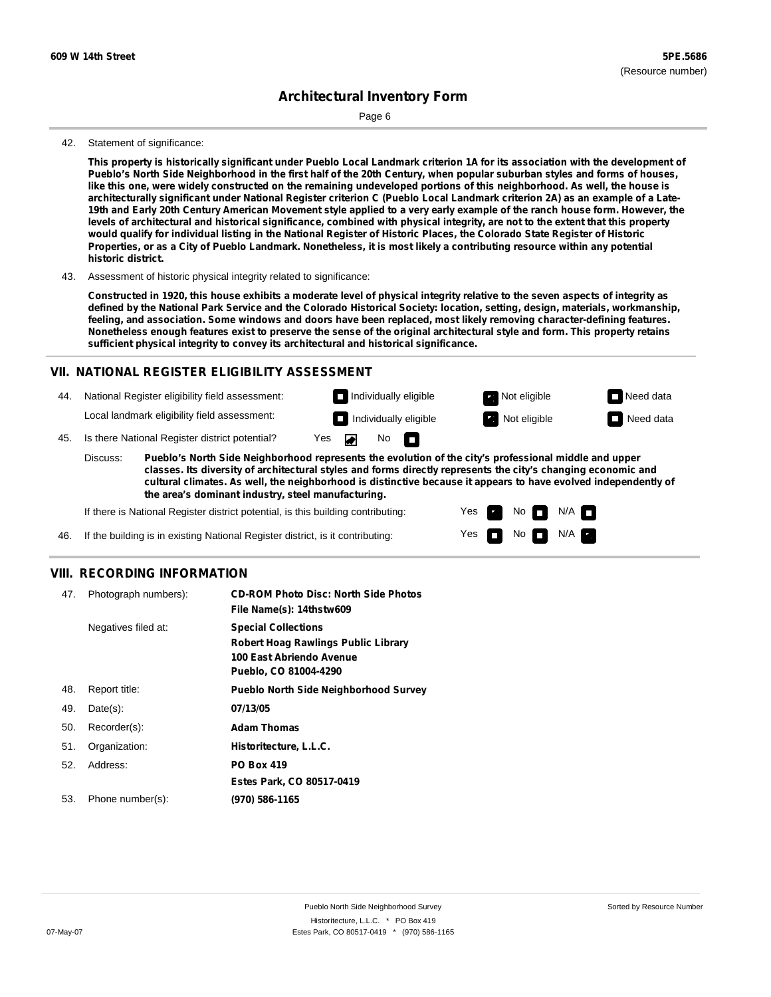Page 6

#### 42. Statement of significance:

This property is historically significant under Pueblo Local Landmark criterion 1A for its association with the development of Pueblo's North Side Neighborhood in the first half of the 20th Century, when popular suburban styles and forms of houses, like this one, were widely constructed on the remaining undeveloped portions of this neighborhood. As well, the house is architecturally significant under National Register criterion C (Pueblo Local Landmark criterion 2A) as an example of a Late-19th and Early 20th Century American Movement style applied to a very early example of the ranch house form. However, the levels of architectural and historical significance, combined with physical integrity, are not to the extent that this property would qualify for individual listing in the National Register of Historic Places, the Colorado State Register of Historic Properties, or as a City of Pueblo Landmark. Nonetheless, it is most likely a contributing resource within any potential **historic district.**

#### 43. Assessment of historic physical integrity related to significance:

Constructed in 1920, this house exhibits a moderate level of physical integrity relative to the seven aspects of integrity as defined by the National Park Service and the Colorado Historical Society: location, setting, design, materials, workmanship, **feeling, and association. Some windows and doors have been replaced, most likely removing character-defining features.** Nonetheless enough features exist to preserve the sense of the original architectural style and form. This property retains **sufficient physical integrity to convey its architectural and historical significance.**

#### **VII. NATIONAL REGISTER ELIGIBILITY ASSESSMENT**

44. National Register eligibility field assessment:

Local landmark eligibility field assessment:

45. Is there National Register district potential? Yes

**Pueblo's North Side Neighborhood represents the evolution of the city's professional middle and upper classes. Its diversity of architectural styles and forms directly represents the city's changing economic and cultural climates. As well, the neighborhood is distinctive because it appears to have evolved independently of the area's dominant industry, steel manufacturing.** Discuss:

 $\blacksquare$ 

No<sub>D</sub>

Yes Yes No

Individually eligible **Not eligible** Not eligible Need data **Individually eligible Not eligible** Not eligible **Need data** 

> $N/A$ N/A

If there is National Register district potential, is this building contributing:

46. If the building is in existing National Register district, is it contributing:

#### **VIII. RECORDING INFORMATION**

| 47. | Photograph numbers): | <b>CD-ROM Photo Disc: North Side Photos</b><br>File Name(s): 14thstw609                                                       |
|-----|----------------------|-------------------------------------------------------------------------------------------------------------------------------|
|     | Negatives filed at:  | <b>Special Collections</b><br><b>Robert Hoag Rawlings Public Library</b><br>100 East Abriendo Avenue<br>Pueblo, CO 81004-4290 |
| 48. | Report title:        | <b>Pueblo North Side Neighborhood Survey</b>                                                                                  |
| 49. | $Date(s)$ :          | 07/13/05                                                                                                                      |
| 50. | Recorder(s):         | <b>Adam Thomas</b>                                                                                                            |
| 51. | Organization:        | Historitecture, L.L.C.                                                                                                        |
| 52. | Address:             | <b>PO Box 419</b>                                                                                                             |
|     |                      | Estes Park, CO 80517-0419                                                                                                     |
| 53. | Phone number(s):     | (970) 586-1165                                                                                                                |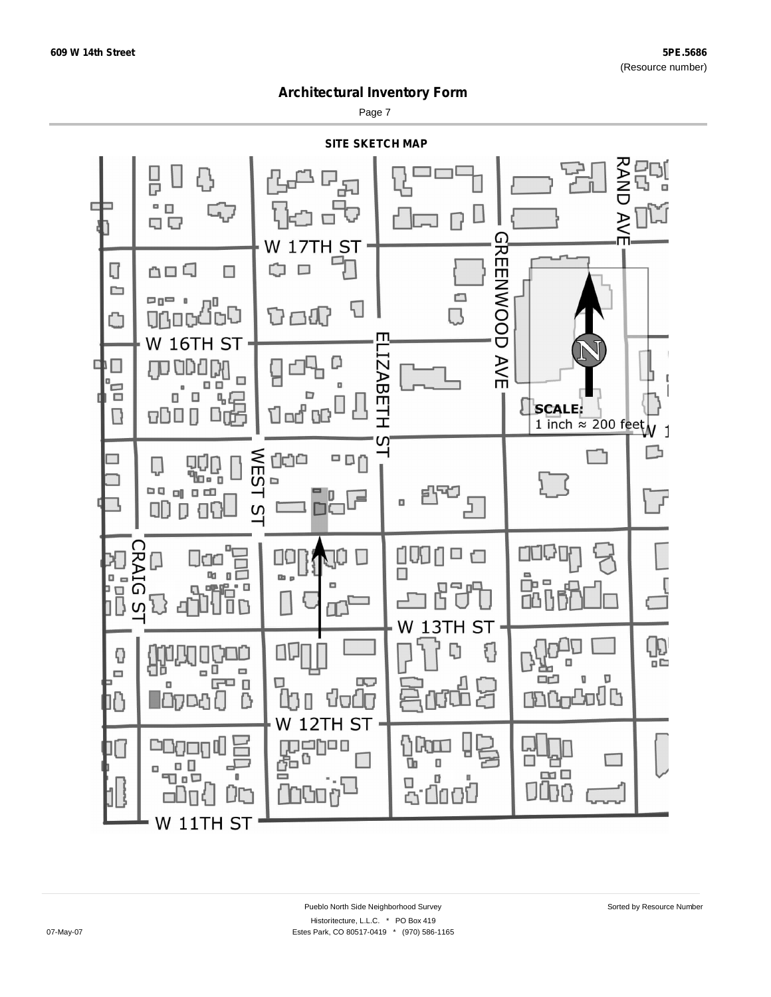Page 7